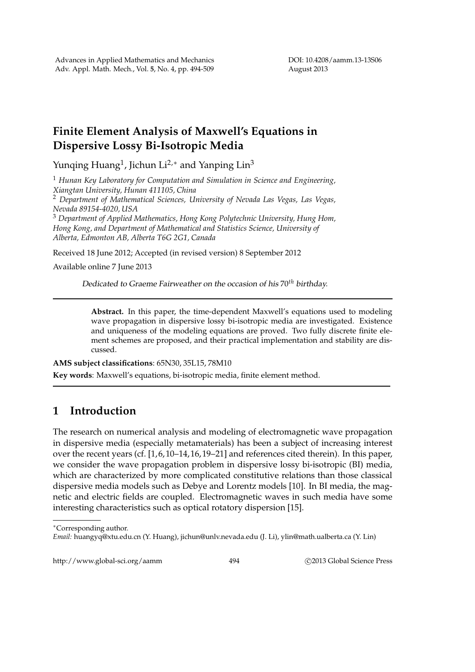## **Finite Element Analysis of Maxwell's Equations in Dispersive Lossy Bi-Isotropic Media**

Yunqing Huang<sup>1</sup>, Jichun Li<sup>2,∗</sup> and Yanping Lin<sup>3</sup>

<sup>1</sup> *Hunan Key Laboratory for Computation and Simulation in Science and Engineering, Xiangtan University, Hunan 411105, China*

<sup>2</sup> *Department of Mathematical Sciences, University of Nevada Las Vegas, Las Vegas, Nevada 89154-4020, USA*

<sup>3</sup> *Department of Applied Mathematics, Hong Kong Polytechnic University, Hung Hom, Hong Kong, and Department of Mathematical and Statistics Science, University of Alberta, Edmonton AB, Alberta T6G 2G1, Canada*

Received 18 June 2012; Accepted (in revised version) 8 September 2012

Available online 7 June 2013

Dedicated to Graeme Fairweather on the occasion of his 70*th* birthday.

**Abstract.** In this paper, the time-dependent Maxwell's equations used to modeling wave propagation in dispersive lossy bi-isotropic media are investigated. Existence and uniqueness of the modeling equations are proved. Two fully discrete finite element schemes are proposed, and their practical implementation and stability are discussed.

**AMS subject classifications**: 65N30, 35L15, 78M10 **Key words**: Maxwell's equations, bi-isotropic media, finite element method.

## **1 Introduction**

The research on numerical analysis and modeling of electromagnetic wave propagation in dispersive media (especially metamaterials) has been a subject of increasing interest over the recent years (cf. [1, 6, 10–14, 16, 19–21] and references cited therein). In this paper, we consider the wave propagation problem in dispersive lossy bi-isotropic (BI) media, which are characterized by more complicated constitutive relations than those classical dispersive media models such as Debye and Lorentz models [10]. In BI media, the magnetic and electric fields are coupled. Electromagnetic waves in such media have some interesting characteristics such as optical rotatory dispersion [15].

http://www.global-sci.org/aamm 494 
c 2013 Global Science Press

<sup>∗</sup>Corresponding author.

*Email:* huangyq@xtu.edu.cn (Y. Huang), jichun@unlv.nevada.edu (J. Li), ylin@math.ualberta.ca (Y. Lin)